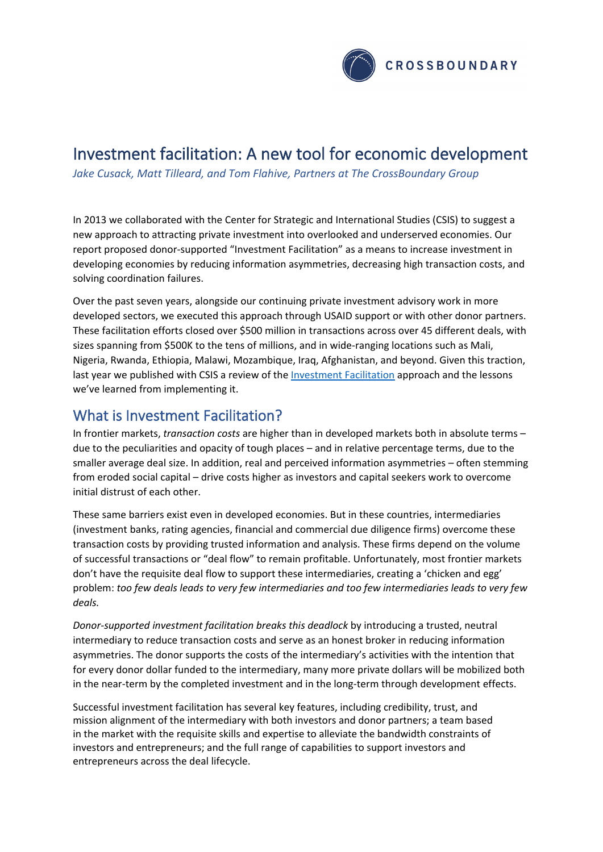

# Investment facilitation: A new tool for economic development

*Jake Cusack, Matt Tilleard, and Tom Flahive, Partners at The CrossBoundary Group*

In 2013 we collaborated with the Center for Strategic and International Studies (CSIS) to suggest a new approach to attracting private investment into overlooked and underserved economies. Our report proposed donor-supported "Investment Facilitation" as a means to increase investment in developing economies by reducing information asymmetries, decreasing high transaction costs, and solving coordination failures.

Over the past seven years, alongside our continuing private investment advisory work in more developed sectors, we executed this approach through USAID support or with other donor partners. These facilitation efforts closed over \$500 million in transactions across over 45 different deals, with sizes spanning from \$500K to the tens of millions, and in wide-ranging locations such as Mali, Nigeria, Rwanda, Ethiopia, Malawi, Mozambique, Iraq, Afghanistan, and beyond. Given this traction, last year we published with CSIS a review of the [Investment Facilitation](https://www.csis.org/analysis/investment-facilitation-revisited) approach and the lessons we've learned from implementing it.

### What is Investment Facilitation?

In frontier markets, *transaction costs* are higher than in developed markets both in absolute terms – due to the peculiarities and opacity of tough places – and in relative percentage terms, due to the smaller average deal size. In addition, real and perceived information asymmetries – often stemming from eroded social capital – drive costs higher as investors and capital seekers work to overcome initial distrust of each other.

These same barriers exist even in developed economies. But in these countries, intermediaries (investment banks, rating agencies, financial and commercial due diligence firms) overcome these transaction costs by providing trusted information and analysis. These firms depend on the volume of successful transactions or "deal flow" to remain profitable. Unfortunately, most frontier markets don't have the requisite deal flow to support these intermediaries, creating a 'chicken and egg' problem: *too few deals leads to very few intermediaries and too few intermediaries leads to very few deals.*

*Donor-supported investment facilitation breaks this deadlock* by introducing a trusted, neutral intermediary to reduce transaction costs and serve as an honest broker in reducing information asymmetries. The donor supports the costs of the intermediary's activities with the intention that for every donor dollar funded to the intermediary, many more private dollars will be mobilized both in the near-term by the completed investment and in the long-term through development effects.

Successful investment facilitation has several key features, including credibility, trust, and mission alignment of the intermediary with both investors and donor partners; a team based in the market with the requisite skills and expertise to alleviate the bandwidth constraints of investors and entrepreneurs; and the full range of capabilities to support investors and entrepreneurs across the deal lifecycle.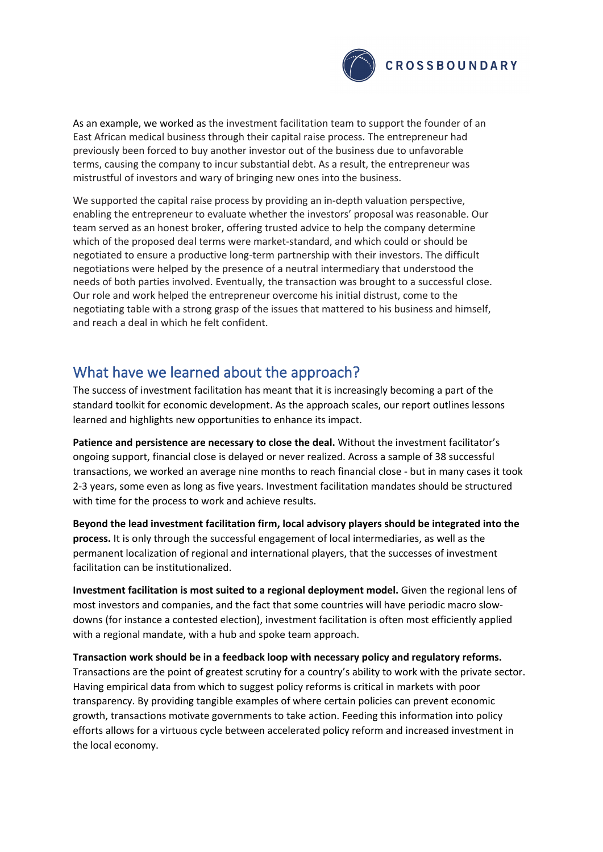

As an example, we worked as the investment facilitation team to support the founder of an East African medical business through their capital raise process. The entrepreneur had previously been forced to buy another investor out of the business due to unfavorable terms, causing the company to incur substantial debt. As a result, the entrepreneur was mistrustful of investors and wary of bringing new ones into the business.

We supported the capital raise process by providing an in-depth valuation perspective, enabling the entrepreneur to evaluate whether the investors' proposal was reasonable. Our team served as an honest broker, offering trusted advice to help the company determine which of the proposed deal terms were market-standard, and which could or should be negotiated to ensure a productive long-term partnership with their investors. The difficult negotiations were helped by the presence of a neutral intermediary that understood the needs of both parties involved. Eventually, the transaction was brought to a successful close. Our role and work helped the entrepreneur overcome his initial distrust, come to the negotiating table with a strong grasp of the issues that mattered to his business and himself, and reach a deal in which he felt confident.

## What have we learned about the approach?

The success of investment facilitation has meant that it is increasingly becoming a part of the standard toolkit for economic development. As the approach scales, our report outlines lessons learned and highlights new opportunities to enhance its impact.

**Patience and persistence are necessary to close the deal.** Without the investment facilitator's ongoing support, financial close is delayed or never realized. Across a sample of 38 successful transactions, we worked an average nine months to reach financial close - but in many cases it took 2-3 years, some even as long as five years. Investment facilitation mandates should be structured with time for the process to work and achieve results.

**Beyond the lead investment facilitation firm, local advisory players should be integrated into the process.** It is only through the successful engagement of local intermediaries, as well as the permanent localization of regional and international players, that the successes of investment facilitation can be institutionalized.

**Investment facilitation is most suited to a regional deployment model.** Given the regional lens of most investors and companies, and the fact that some countries will have periodic macro slowdowns (for instance a contested election), investment facilitation is often most efficiently applied with a regional mandate, with a hub and spoke team approach.

**Transaction work should be in a feedback loop with necessary policy and regulatory reforms.**  Transactions are the point of greatest scrutiny for a country's ability to work with the private sector. Having empirical data from which to suggest policy reforms is critical in markets with poor transparency. By providing tangible examples of where certain policies can prevent economic growth, transactions motivate governments to take action. Feeding this information into policy efforts allows for a virtuous cycle between accelerated policy reform and increased investment in the local economy.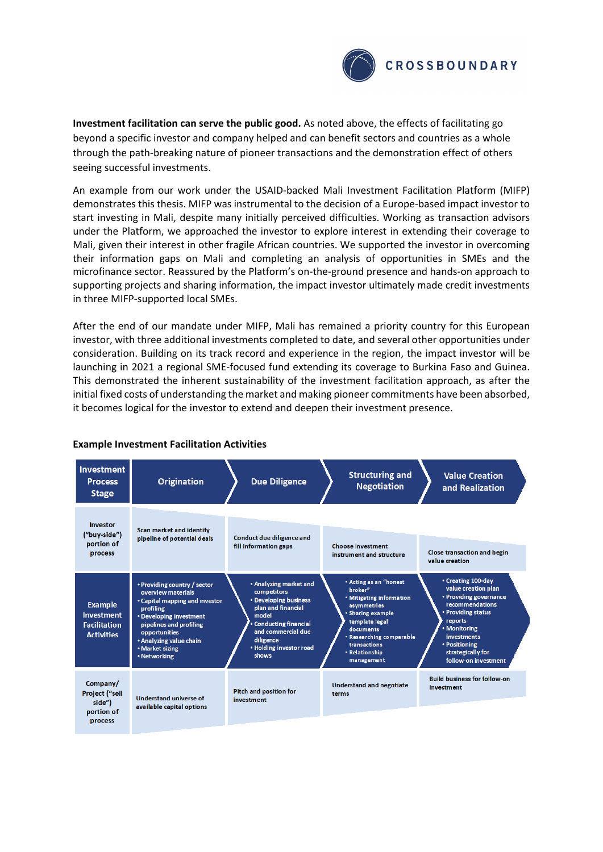

**Investment facilitation can serve the public good.** As noted above, the effects of facilitating go beyond a specific investor and company helped and can benefit sectors and countries as a whole through the path-breaking nature of pioneer transactions and the demonstration effect of others seeing successful investments.

An example from our work under the USAID-backed Mali Investment Facilitation Platform (MIFP) demonstrates this thesis. MIFP was instrumental to the decision of a Europe-based impact investor to start investing in Mali, despite many initially perceived difficulties. Working as transaction advisors under the Platform, we approached the investor to explore interest in extending their coverage to Mali, given their interest in other fragile African countries. We supported the investor in overcoming their information gaps on Mali and completing an analysis of opportunities in SMEs and the microfinance sector. Reassured by the Platform's on-the-ground presence and hands-on approach to supporting projects and sharing information, the impact investor ultimately made credit investments in three MIFP-supported local SMEs.

After the end of our mandate under MIFP, Mali has remained a priority country for this European investor, with three additional investments completed to date, and several other opportunities under consideration. Building on its track record and experience in the region, the impact investor will be launching in 2021 a regional SME-focused fund extending its coverage to Burkina Faso and Guinea. This demonstrated the inherent sustainability of the investment facilitation approach, as after the initial fixed costs of understanding the market and making pioneer commitments have been absorbed, it becomes logical for the investor to extend and deepen their investment presence.

| <b>Investment</b><br><b>Process</b><br><b>Stage</b>                      | <b>Origination</b>                                                                                                                                                                                                                     | <b>Due Diligence</b>                                                                                                                                                                                | <b>Structuring and</b><br><b>Negotiation</b>                                                                                                                                                                 | <b>Value Creation</b><br>and Realization                                                                                                                                                                                    |
|--------------------------------------------------------------------------|----------------------------------------------------------------------------------------------------------------------------------------------------------------------------------------------------------------------------------------|-----------------------------------------------------------------------------------------------------------------------------------------------------------------------------------------------------|--------------------------------------------------------------------------------------------------------------------------------------------------------------------------------------------------------------|-----------------------------------------------------------------------------------------------------------------------------------------------------------------------------------------------------------------------------|
| <b>Investor</b><br>("buy-side")<br>portion of<br>process                 | Scan market and identify<br>pipeline of potential deals                                                                                                                                                                                | Conduct due diligence and<br>fill information gaps                                                                                                                                                  | <b>Choose investment</b><br>instrument and structure                                                                                                                                                         | <b>Close transaction and begin</b><br>value creation                                                                                                                                                                        |
| <b>Example</b><br>Investment<br><b>Facilitation</b><br><b>Activities</b> | • Providing country / sector<br>overview materials<br>• Capital mapping and investor<br>profiling<br>• Developing investment<br>pipelines and profiling<br>opportunities<br>• Analyzing value chain<br>• Market sizing<br>• Networking | • Analyzing market and<br>competitors<br>• Developing business<br>plan and financial<br>model<br><b>Conducting financial</b><br>and commercial due<br>diligence<br>• Holding investor road<br>shows | • Acting as an "honest<br>broker"<br>• Mitigating information<br>asymmetries<br>• Sharing example<br>template legal<br>documents<br>. Researching comparable<br>transactions<br>• Relationship<br>management | • Creating 100-day<br>value creation plan<br>• Providing governance<br>recommendations<br>• Providing status<br>reports<br>• Monitoring<br><b>investments</b><br>• Positioning<br>strategically for<br>follow-on investment |
| Company/<br><b>Project ("sell</b><br>side")<br>portion of<br>process     | Understand universe of<br>available capital options                                                                                                                                                                                    | Pitch and position for<br>investment                                                                                                                                                                | <b>Understand and negotiate</b><br>terms                                                                                                                                                                     | <b>Build business for follow-on</b><br>investment                                                                                                                                                                           |

#### **Example Investment Facilitation Activities**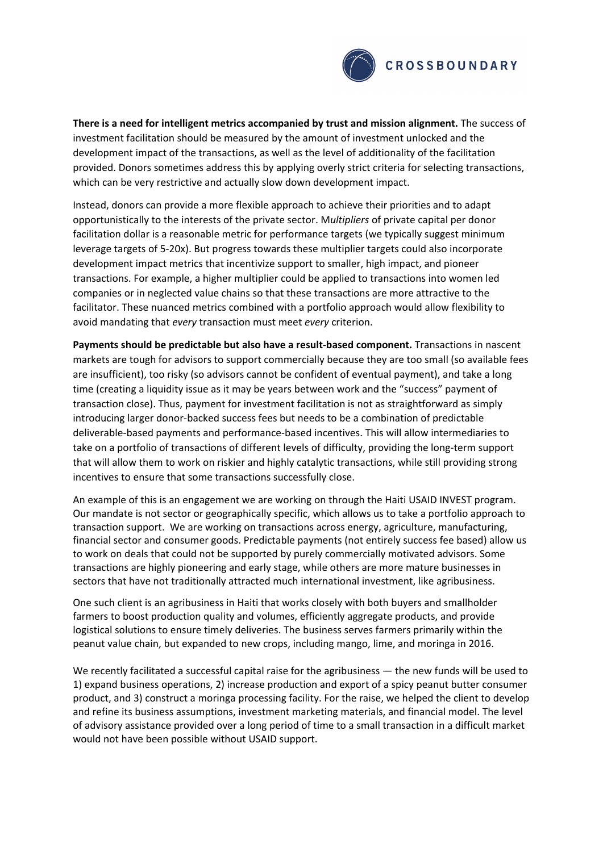

**There is a need for intelligent metrics accompanied by trust and mission alignment.** The success of investment facilitation should be measured by the amount of investment unlocked and the development impact of the transactions, as well as the level of additionality of the facilitation provided. Donors sometimes address this by applying overly strict criteria for selecting transactions, which can be very restrictive and actually slow down development impact.

Instead, donors can provide a more flexible approach to achieve their priorities and to adapt opportunistically to the interests of the private sector. M*ultipliers* of private capital per donor facilitation dollar is a reasonable metric for performance targets (we typically suggest minimum leverage targets of 5-20x). But progress towards these multiplier targets could also incorporate development impact metrics that incentivize support to smaller, high impact, and pioneer transactions. For example, a higher multiplier could be applied to transactions into women led companies or in neglected value chains so that these transactions are more attractive to the facilitator. These nuanced metrics combined with a portfolio approach would allow flexibility to avoid mandating that *every* transaction must meet *every* criterion.

**Payments should be predictable but also have a result-based component.** Transactions in nascent markets are tough for advisors to support commercially because they are too small (so available fees are insufficient), too risky (so advisors cannot be confident of eventual payment), and take a long time (creating a liquidity issue as it may be years between work and the "success" payment of transaction close). Thus, payment for investment facilitation is not as straightforward as simply introducing larger donor-backed success fees but needs to be a combination of predictable deliverable-based payments and performance-based incentives. This will allow intermediaries to take on a portfolio of transactions of different levels of difficulty, providing the long-term support that will allow them to work on riskier and highly catalytic transactions, while still providing strong incentives to ensure that some transactions successfully close.

An example of this is an engagement we are working on through the Haiti USAID INVEST program. Our mandate is not sector or geographically specific, which allows us to take a portfolio approach to transaction support. We are working on transactions across energy, agriculture, manufacturing, financial sector and consumer goods. Predictable payments (not entirely success fee based) allow us to work on deals that could not be supported by purely commercially motivated advisors. Some transactions are highly pioneering and early stage, while others are more mature businesses in sectors that have not traditionally attracted much international investment, like agribusiness.

One such client is an agribusiness in Haiti that works closely with both buyers and smallholder farmers to boost production quality and volumes, efficiently aggregate products, and provide logistical solutions to ensure timely deliveries. The business serves farmers primarily within the peanut value chain, but expanded to new crops, including mango, lime, and moringa in 2016.

We recently facilitated a successful capital raise for the agribusiness — the new funds will be used to 1) expand business operations, 2) increase production and export of a spicy peanut butter consumer product, and 3) construct a moringa processing facility. For the raise, we helped the client to develop and refine its business assumptions, investment marketing materials, and financial model. The level of advisory assistance provided over a long period of time to a small transaction in a difficult market would not have been possible without USAID support.